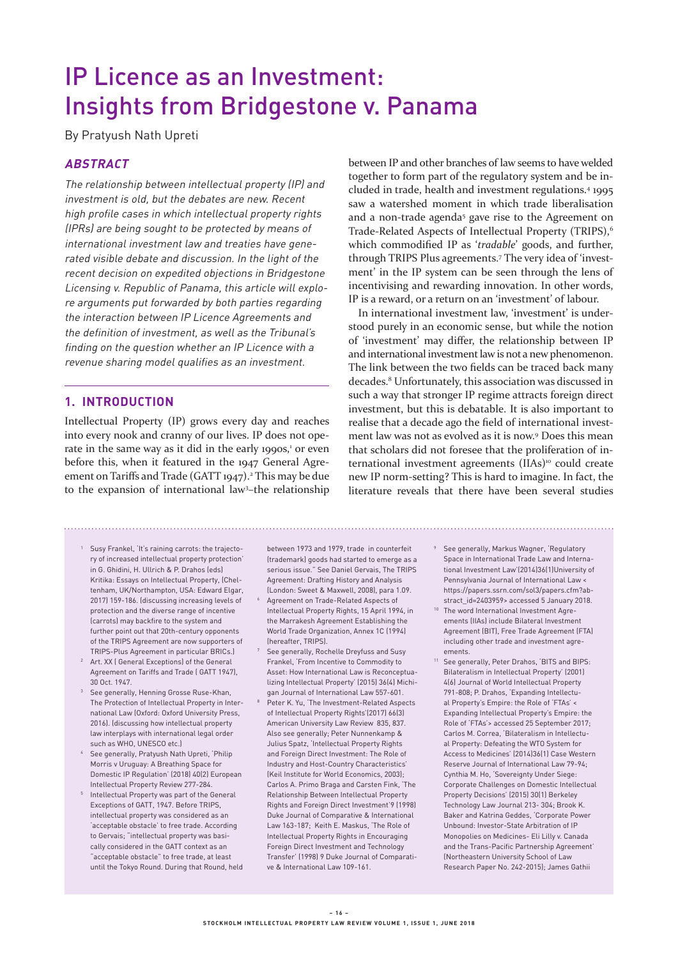# IP Licence as an Investment: Insights from Bridgestone v. Panama

By Pratyush Nath Upreti

# **ABSTRACT**

The relationship between intellectual property (IP) and investment is old, but the debates are new. Recent high profile cases in which intellectual property rights (IPRs) are being sought to be protected by means of international investment law and treaties have generated visible debate and discussion. In the light of the recent decision on expedited objections in Bridgestone Licensing v. Republic of Panama, this article will explore arguments put forwarded by both parties regarding the interaction between IP Licence Agreements and the definition of investment, as well as the Tribunal's finding on the question whether an IP Licence with a revenue sharing model qualifies as an investment.

## **1. INTRODUCTION**

Intellectual Property (IP) grows every day and reaches into every nook and cranny of our lives. IP does not operate in the same way as it did in the early 1990s,<sup>1</sup> or even before this, when it featured in the 1947 General Agreement on Tariffs and Trade (GATT 1947).<sup>2</sup> This may be due to the expansion of international law3 –the relationship between IP and other branches of law seems to have welded together to form part of the regulatory system and be included in trade, health and investment regulations.4 1995 saw a watershed moment in which trade liberalisation and a non-trade agenda<sup>5</sup> gave rise to the Agreement on Trade-Related Aspects of Intellectual Property (TRIPS),<sup>6</sup> which commodified IP as '*tradable*' goods, and further, through TRIPS Plus agreements.7 The very idea of 'investment' in the IP system can be seen through the lens of incentivising and rewarding innovation. In other words, IP is a reward, or a return on an 'investment' of labour.

In international investment law, 'investment' is understood purely in an economic sense, but while the notion of 'investment' may differ, the relationship between IP and international investment law is not a new phenomenon. The link between the two fields can be traced back many decades.8 Unfortunately, this association was discussed in such a way that stronger IP regime attracts foreign direct investment, but this is debatable. It is also important to realise that a decade ago the field of international investment law was not as evolved as it is now.<sup>9</sup> Does this mean that scholars did not foresee that the proliferation of international investment agreements (IIAs)<sup>10</sup> could create new IP norm-setting? This is hard to imagine. In fact, the literature reveals that there have been several studies

- <sup>1</sup> Susy Frankel, 'It's raining carrots: the trajectory of increased intellectual property protection' in G. Ghidini, H. Ullrich & P. Drahos (eds) Kritika: Essays on Intellectual Property, (Cheltenham, UK/Northampton, USA: Edward Elgar, 2017) 159-186. (discussing increasing levels of protection and the diverse range of incentive (carrots) may backfire to the system and further point out that 20th-century opponents of the TRIPS Agreement are now supporters of TRIPS-Plus Agreement in particular BRICs.)
- <sup>2</sup> Art. XX ( General Exceptions) of the General Agreement on Tariffs and Trade ( GATT 1947), 30 Oct. 1947.
- <sup>3</sup> See generally, Henning Grosse Ruse-Khan, The Protection of Intellectual Property in International Law (Oxford: Oxford University Press, 2016). (discussing how intellectual property law interplays with international legal order such as WHO, UNESCO etc.)
- <sup>4</sup> See generally, Pratyush Nath Upreti, 'Philip Morris v Uruguay: A Breathing Space for Domestic IP Regulation' (2018) 40(2) European Intellectual Property Review 277-284.
- <sup>5</sup> Intellectual Property was part of the General Exceptions of GATT, 1947. Before TRIPS, intellectual property was considered as an 'acceptable obstacle' to free trade. According to Gervais; "intellectual property was basically considered in the GATT context as an "acceptable obstacle" to free trade, at least until the Tokyo Round. During that Round, held

between 1973 and 1979, trade in counterfeit (trademark) goods had started to emerge as a serious issue." See Daniel Gervais, The TRIPS Agreement: Drafting History and Analysis (London: Sweet & Maxwell, 2008), para 1.09.

- <sup>6</sup> Agreement on Trade-Related Aspects of Intellectual Property Rights, 15 April 1994, in the Marrakesh Agreement Establishing the World Trade Organization, Annex 1C (1994) (hereafter, TRIPS).
- <sup>7</sup> See generally, Rochelle Dreyfuss and Susy Frankel, 'From Incentive to Commodity to Asset: How International Law is Reconceptualizing Intellectual Property' (2015) 36(4) Michigan Journal of International Law 557-601.
- Peter K. Yu, 'The Investment-Related Aspects of Intellectual Property Rights'(2017) 66(3) American University Law Review 835, 837. Also see generally; Peter Nunnenkamp & Julius Spatz, 'Intellectual Property Rights and Foreign Direct Investment: The Role of Industry and Host-Country Characteristics' (Keil Institute for World Economics, 2003); Carlos A. Primo Braga and Carsten Fink, 'The Relationship Between Intellectual Property Rights and Foreign Direct Investment'9 (1998) Duke Journal of Comparative & International Law 163-187; Keith E. Maskus, 'The Role of Intellectual Property Rights in Encouraging Foreign Direct Investment and Technology Transfer' (1998) 9 Duke Journal of Comparative & International Law 109-161.
- <sup>9</sup> See generally, Markus Wagner, 'Regulatory Space in International Trade Law and International Investment Law'(2014)36(1)University of Pennsylvania Journal of International Law < https://papers.ssrn.com/sol3/papers.cfm?abstract\_id=2403959> accessed 5 January 2018.
- <sup>10</sup> The word International Investment Agreements (IIAs) include Bilateral Investment Agreement (BIT), Free Trade Agreement (FTA) including other trade and investment agreements.
- <sup>11</sup> See generally, Peter Drahos, 'BITS and BIPS: Bilateralism in Intellectual Property' (2001) 4(6) Journal of World Intellectual Property 791-808; P. Drahos, 'Expanding Intellectual Property's Empire: the Role of 'FTAs' < Expanding Intellectual Property's Empire: the Role of 'FTAs'> accessed 25 September 2017; Carlos M. Correa, 'Bilateralism in Intellectual Property: Defeating the WTO System for Access to Medicines' (2014)36(1) Case Western Reserve Journal of International Law 79-94; Cynthia M. Ho, 'Sovereignty Under Siege: Corporate Challenges on Domestic Intellectual Property Decisions' (2015) 30(1) Berkeley Technology Law Journal 213- 304; Brook K. Baker and Katrina Geddes, 'Corporate Power Unbound: Investor-State Arbitration of IP Monopolies on Medicines- Eli Lilly v. Canada and the Trans-Pacific Partnership Agreement' (Northeastern University School of Law Research Paper No. 242-2015); James Gathii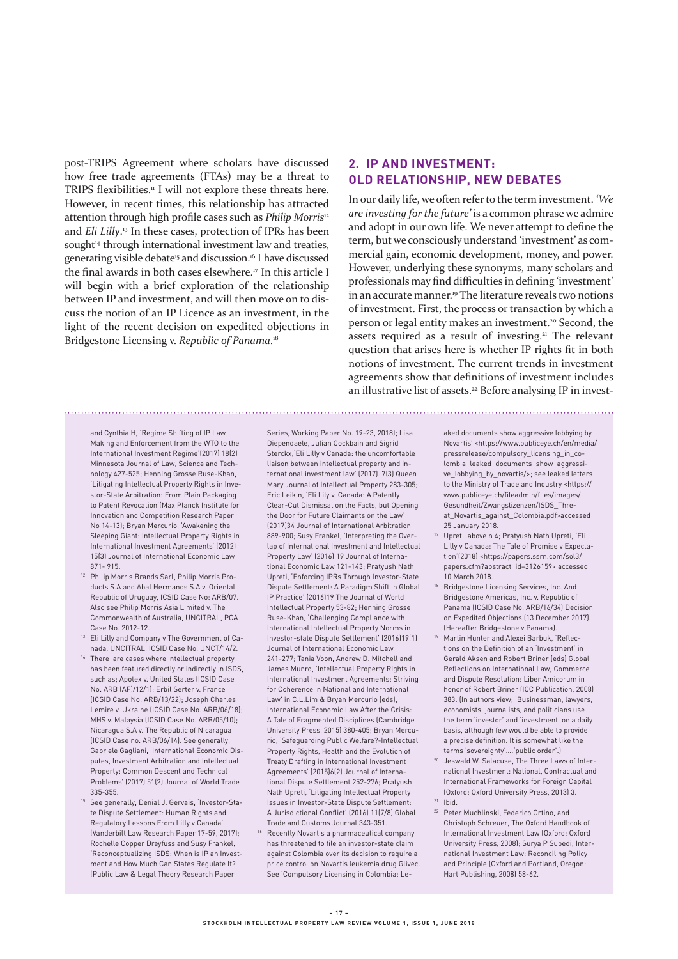post-TRIPS Agreement where scholars have discussed how free trade agreements (FTAs) may be a threat to TRIPS flexibilities.<sup>11</sup> I will not explore these threats here. However, in recent times, this relationship has attracted attention through high profile cases such as *Philip Morris*<sup>12</sup> and *Eli Lilly*. 13 In these cases, protection of IPRs has been sought<sup>14</sup> through international investment law and treaties, generating visible debate<sup>15</sup> and discussion.<sup>16</sup> I have discussed the final awards in both cases elsewhere.<sup>17</sup> In this article I will begin with a brief exploration of the relationship between IP and investment, and will then move on to discuss the notion of an IP Licence as an investment, in the light of the recent decision on expedited objections in Bridgestone Licensing v. *Republic of Panama*. 18

# **2. IP AND INVESTMENT: OLD RELATIONSHIP, NEW DEBATES**

In our daily life, we often refer to the term investment. *'We are investing for the future'* is a common phrase we admire and adopt in our own life. We never attempt to define the term, but we consciously understand 'investment' as commercial gain, economic development, money, and power. However, underlying these synonyms, many scholars and professionals may find difficulties in defining 'investment' in an accurate manner.<sup>19</sup> The literature reveals two notions of investment. First, the process or transaction by which a person or legal entity makes an investment.20 Second, the assets required as a result of investing.<sup>21</sup> The relevant question that arises here is whether IP rights fit in both notions of investment. The current trends in investment agreements show that definitions of investment includes an illustrative list of assets.<sup>22</sup> Before analysing IP in invest-

and Cynthia H, 'Regime Shifting of IP Law Making and Enforcement from the WTO to the International Investment Regime'(2017) 18(2) Minnesota Journal of Law, Science and Technology 427-525; Henning Grosse Ruse-Khan, 'Litigating Intellectual Property Rights in Investor-State Arbitration: From Plain Packaging to Patent Revocation'(Max Planck Institute for Innovation and Competition Research Paper No 14-13); Bryan Mercurio, 'Awakening the Sleeping Giant: Intellectual Property Rights in International Investment Agreements' (2012) 15(3) Journal of International Economic Law 871- 915.

- <sup>12</sup> Philip Morris Brands Sarl, Philip Morris Products S.A and Abal Hermanos S.A v. Oriental Republic of Uruguay, ICSID Case No: ARB/07. Also see Philip Morris Asia Limited v. The Commonwealth of Australia, UNCITRAL, PCA Case No. 2012-12.
- <sup>13</sup> Eli Lilly and Company v The Government of Canada, UNCITRAL, ICSID Case No. UNCT/14/2.
- <sup>14</sup> There are cases where intellectual property has been featured directly or indirectly in ISDS, such as; Apotex v. United States (ICSID Case No. ARB (AF)/12/1); Erbil Serter v. France (ICSID Case No. ARB/13/22); Joseph Charles Lemire v. Ukraine (ICSID Case No. ARB/06/18); MHS v. Malaysia (ICSID Case No. ARB/05/10); Nicaragua S.A v. The Republic of Nicaragua (ICSID Case no. ARB/06/14). See generally, Gabriele Gagliani, 'International Economic Disputes, Investment Arbitration and Intellectual Property: Common Descent and Technical Problems' (2017) 51(2) Journal of World Trade 335-355.
- <sup>15</sup> See generally, Denial J. Gervais, 'Investor-State Dispute Settlement: Human Rights and Regulatory Lessons From Lilly v Canada' (Vanderbilt Law Research Paper 17-59, 2017); Rochelle Copper Dreyfuss and Susy Frankel, 'Reconceptualizing ISDS: When is IP an Investment and How Much Can States Regulate It? (Public Law & Legal Theory Research Paper

Series, Working Paper No. 19-23, 2018); Lisa Diependaele, Julian Cockbain and Sigrid Sterckx,'Eli Lilly v Canada: the uncomfortable liaison between intellectual property and international investment law' (2017) 7(3) Queen Mary Journal of Intellectual Property 283-305; Eric Leikin, 'Eli Lily v. Canada: A Patently Clear-Cut Dismissal on the Facts, but Opening the Door for Future Claimants on the Law' (2017)34 Journal of International Arbitration 889-900; Susy Frankel, 'Interpreting the Overlap of International Investment and Intellectual Property Law' (2016) 19 Journal of International Economic Law 121-143; Pratyush Nath Upreti, 'Enforcing IPRs Through Investor-State Dispute Settlement: A Paradigm Shift in Global IP Practice' (2016)19 The Journal of World Intellectual Property 53-82; Henning Grosse Ruse-Khan, 'Challenging Compliance with International Intellectual Property Norms in Investor-state Dispute Settlement' (2016)19(1) Journal of International Economic Law 241-277; Tania Voon, Andrew D. Mitchell and James Munro, 'Intellectual Property Rights in International Investment Agreements: Striving for Coherence in National and International Law' in C.L.Lim & Bryan Mercurio (eds), International Economic Law After the Crisis: A Tale of Fragmented Disciplines (Cambridge University Press, 2015) 380-405; Bryan Mercurio, 'Safeguarding Public Welfare?-Intellectual Property Rights, Health and the Evolution of Treaty Drafting in International Investment Agreements' (2015)6(2) Journal of International Dispute Settlement 252-276; Pratyush Nath Upreti, 'Litigating Intellectual Property Issues in Investor-State Dispute Settlement: A Jurisdictional Conflict' (2016) 11(7/8) Global Trade and Customs Journal 343-351.

<sup>16</sup> Recently Novartis a pharmaceutical company has threatened to file an investor-state claim against Colombia over its decision to require a price control on Novartis leukemia drug Glivec. See 'Compulsory Licensing in Colombia: Leaked documents show aggressive lobbying by Novartis' <https://www.publiceye.ch/en/media/ pressrelease/compulsory\_licensing\_in\_colombia\_leaked\_documents\_show\_aggressive\_lobbying\_by\_novartis/>; see leaked letters to the Ministry of Trade and Industry <https:// www.publiceye.ch/fileadmin/files/images/ Gesundheit/Zwangslizenzen/ISDS\_Threat\_Novartis\_against\_Colombia.pdf>accessed

- 25 January 2018.
- <sup>17</sup> Upreti, above n 4; Pratyush Nath Upreti, 'Eli Lilly v Canada: The Tale of Promise v Expectation'(2018) <https://papers.ssrn.com/sol3/ papers.cfm?abstract\_id=3126159> accessed 10 March 2018.
- 18 Bridgestone Licensing Services, Inc. And Bridgestone Americas, Inc. v. Republic of Panama (ICSID Case No. ARB/16/34) Decision on Expedited Objections (13 December 2017). (Hereafter Bridgestone v Panama).
- <sup>19</sup> Martin Hunter and Alexei Barbuk, 'Reflections on the Definition of an 'Investment' in Gerald Aksen and Robert Briner (eds) Global Reflections on International Law, Commerce and Dispute Resolution: Liber Amicorum in honor of Robert Briner (ICC Publication, 2008) 383. (In authors view; 'Businessman, lawyers, economists, journalists, and politicians use the term 'investor' and 'investment' on a daily basis, although few would be able to provide a precise definition. It is somewhat like the terms 'sovereignty'….'public order'.)
- <sup>20</sup> Jeswald W. Salacuse, The Three Laws of International Investment: National, Contractual and International Frameworks for Foreign Capital (Oxford: Oxford University Press, 2013) 3. <sup>21</sup> Ibid.
- <sup>22</sup> Peter Muchlinski, Federico Ortino, and Christoph Schreuer, The Oxford Handbook of International Investment Law (Oxford: Oxford University Press, 2008); Surya P Subedi, International Investment Law: Reconciling Policy and Principle (Oxford and Portland, Oregon: Hart Publishing, 2008) 58-62.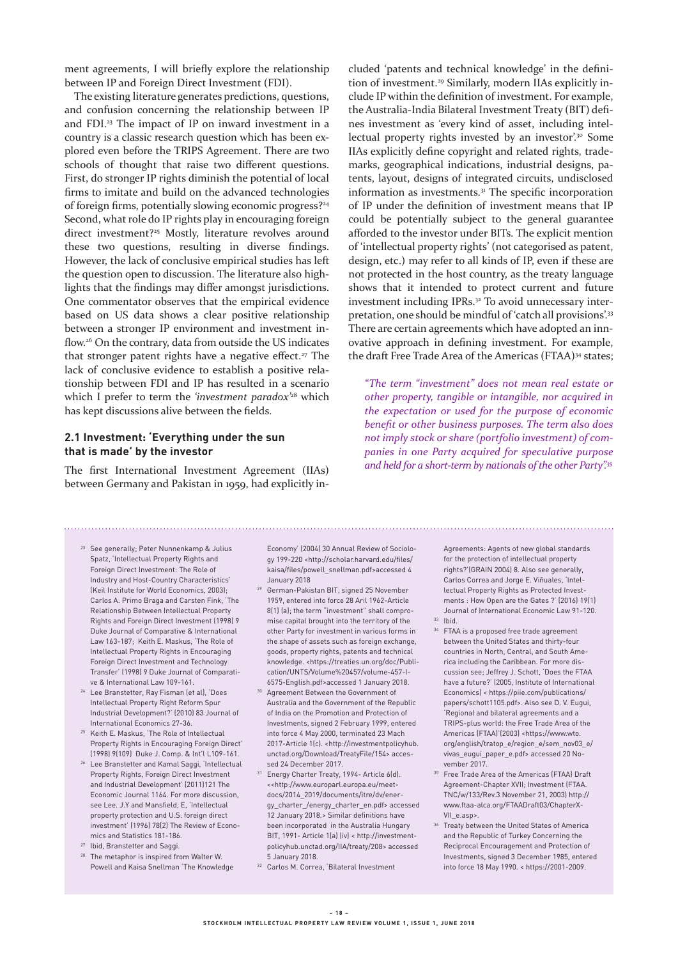ment agreements, I will briefly explore the relationship between IP and Foreign Direct Investment (FDI).

The existing literature generates predictions, questions, and confusion concerning the relationship between IP and FDI.23 The impact of IP on inward investment in a country is a classic research question which has been explored even before the TRIPS Agreement. There are two schools of thought that raise two different questions. First, do stronger IP rights diminish the potential of local firms to imitate and build on the advanced technologies of foreign firms, potentially slowing economic progress?<sup>24</sup> Second, what role do IP rights play in encouraging foreign direct investment?<sup>25</sup> Mostly, literature revolves around these two questions, resulting in diverse findings. However, the lack of conclusive empirical studies has left the question open to discussion. The literature also highlights that the findings may differ amongst jurisdictions. One commentator observes that the empirical evidence based on US data shows a clear positive relationship between a stronger IP environment and investment inflow.26 On the contrary, data from outside the US indicates that stronger patent rights have a negative effect.<sup>27</sup> The lack of conclusive evidence to establish a positive relationship between FDI and IP has resulted in a scenario which I prefer to term the *'investment paradox*<sup>28</sup> which has kept discussions alive between the fields.

## **2.1 Investment: 'Everything under the sun that is made' by the investor**

The first International Investment Agreement (IIAs) between Germany and Pakistan in 1959, had explicitly included 'patents and technical knowledge' in the definition of investment.<sup>29</sup> Similarly, modern IIAs explicitly include IP within the definition of investment. For example, the Australia-India Bilateral Investment Treaty (BIT) defines investment as 'every kind of asset, including intellectual property rights invested by an investor'.<sup>30</sup> Some IIAs explicitly define copyright and related rights, trademarks, geographical indications, industrial designs, patents, layout, designs of integrated circuits, undisclosed information as investments.<sup>31</sup> The specific incorporation of IP under the definition of investment means that IP could be potentially subject to the general guarantee afforded to the investor under BITs. The explicit mention of 'intellectual property rights' (not categorised as patent, design, etc.) may refer to all kinds of IP, even if these are not protected in the host country, as the treaty language shows that it intended to protect current and future investment including IPRs.<sup>32</sup> To avoid unnecessary interpretation, one should be mindful of 'catch all provisions'.<sup>33</sup> There are certain agreements which have adopted an innovative approach in defining investment. For example, the draft Free Trade Area of the Americas (FTAA)<sup>34</sup> states;

*"The term "investment" does not mean real estate or other property, tangible or intangible, nor acquired in the expectation or used for the purpose of economic benefit or other business purposes. The term also does not imply stock or share (portfolio investment) of companies in one Party acquired for speculative purpose and held for a short-term by nationals of the other Party".<sup>35</sup>*

- <sup>23</sup> See generally; Peter Nunnenkamp & Julius Spatz, 'Intellectual Property Rights and Foreign Direct Investment: The Role of Industry and Host-Country Characteristics' (Keil Institute for World Economics, 2003); Carlos A. Primo Braga and Carsten Fink, 'The Relationship Between Intellectual Property Rights and Foreign Direct Investment (1998) 9 Duke Journal of Comparative & International Law 163-187; Keith E. Maskus, 'The Role of Intellectual Property Rights in Encouraging Foreign Direct Investment and Technology Transfer' (1998) 9 Duke Journal of Comparative & International Law 109-161.
- <sup>24</sup> Lee Branstetter, Ray Fisman (et al), 'Does Intellectual Property Right Reform Spur Industrial Development?' (2010) 83 Journal of International Economics 27-36.
- <sup>25</sup> Keith E. Maskus, 'The Role of Intellectual Property Rights in Encouraging Foreign Direct' (1998) 9(109) Duke J. Comp. & Int'l L109-161.
- <sup>26</sup> Lee Branstetter and Kamal Saggi, 'Intellectual Property Rights, Foreign Direct Investment and Industrial Development' (2011)121 The Economic Journal 1164. For more discussion, see Lee. J.Y and Mansfield, E, 'Intellectual property protection and U.S. foreign direct investment' (1996) 78(2) The Review of Economics and Statistics 181-186.
- <sup>27</sup> Ibid, Branstetter and Saggi.
- The metaphor is inspired from Walter W. Powell and Kaisa Snellman 'The Knowledge

Economy' (2004) 30 Annual Review of Sociology 199-220 <http://scholar.harvard.edu/files/ kaisa/files/powell\_snellman.pdf>accessed 4 January 2018

- <sup>29</sup> German-Pakistan BIT, signed 25 November 1959, entered into force 28 Aril 1962-Article 8(1) (a); the term "investment" shall compromise capital brought into the territory of the other Party for investment in various forms in the shape of assets such as foreign exchange, goods, property rights, patents and technical knowledge. <https://treaties.un.org/doc/Publication/UNTS/Volume%20457/volume-457-I-6575-English.pdf>accessed 1 January 2018.
- <sup>30</sup> Agreement Between the Government of Australia and the Government of the Republic of India on the Promotion and Protection of Investments, signed 2 February 1999, entered into force 4 May 2000, terminated 23 Mach 2017-Article 1(c). <http://investmentpolicyhub. unctad.org/Download/TreatyFile/154> accessed 24 December 2017.
- <sup>31</sup> Energy Charter Treaty, 1994- Article 6(d). <<http://www.europarl.europa.eu/meetdocs/2014\_2019/documents/itre/dv/energy\_charter\_/energy\_charter\_en.pdf> accessed 12 January 2018.> Similar definitions have been incorporated in the Australia Hungary BIT, 1991- Article 1(a) (iv) < http://investmentpolicyhub.unctad.org/IIA/treaty/208> accessed 5 January 2018.
- <sup>32</sup> Carlos M. Correa, 'Bilateral Investment

Agreements: Agents of new global standards for the protection of intellectual property rights?'(GRAIN 2004) 8. Also see generally, Carlos Correa and Jorge E. Viñuales, 'Intellectual Property Rights as Protected Investments : How Open are the Gates ?' (2016) 19(1) Journal of International Economic Law 91-120.  $33$  Ibid.

- <sup>34</sup> FTAA is a proposed free trade agreement between the United States and thirty-four countries in North, Central, and South America including the Caribbean. For more discussion see; Jeffrey J. Schott, 'Does the FTAA have a future?' (2005, Institute of International Economics) < https://piie.com/publications/ papers/schott1105.pdf>. Also see D. V. Eugui, 'Regional and bilateral agreements and a TRIPS-plus world: the Free Trade Area of the Americas (FTAA)'(2003) <https://www.wto. org/english/tratop\_e/region\_e/sem\_nov03\_e/ vivas\_eugui\_paper\_e.pdf> accessed 20 November 2017.
- <sup>35</sup> Free Trade Area of the Americas (FTAA) Draft Agreement-Chapter XVII; Investment (FTAA. TNC/w/133/Rev.3 November 21, 2003) http:// www.ftaa-alca.org/FTAADraft03/ChapterX-VII\_e.asp>.
- <sup>36</sup> Treaty between the United States of America and the Republic of Turkey Concerning the Reciprocal Encouragement and Protection of Investments, signed 3 December 1985, entered into force 18 May 1990. < https://2001-2009.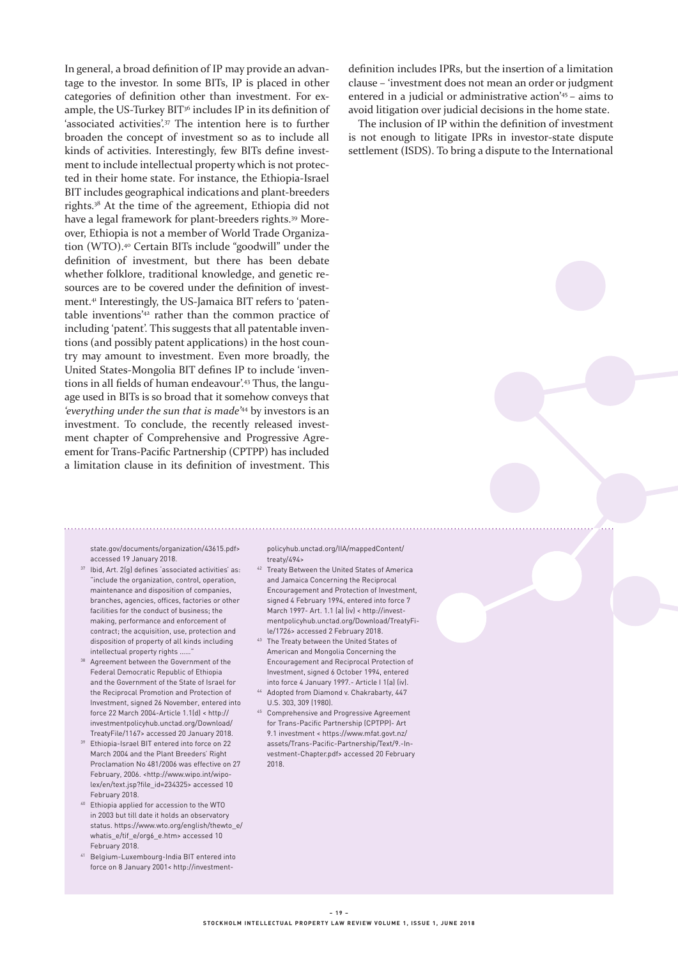In general, a broad definition of IP may provide an advantage to the investor. In some BITs, IP is placed in other categories of definition other than investment. For example, the US-Turkey BIT<sup>36</sup> includes IP in its definition of 'associated activities'.<sup>37</sup> The intention here is to further broaden the concept of investment so as to include all kinds of activities. Interestingly, few BITs define investment to include intellectual property which is not protected in their home state. For instance, the Ethiopia-Israel BIT includes geographical indications and plant-breeders rights.38 At the time of the agreement, Ethiopia did not have a legal framework for plant-breeders rights.39 Moreover, Ethiopia is not a member of World Trade Organization (WTO).40 Certain BITs include "goodwill" under the definition of investment, but there has been debate whether folklore, traditional knowledge, and genetic resources are to be covered under the definition of investment.<sup>41</sup> Interestingly, the US-Jamaica BIT refers to 'patentable inventions'42 rather than the common practice of including 'patent'. This suggests that all patentable inventions (and possibly patent applications) in the host country may amount to investment. Even more broadly, the United States-Mongolia BIT defines IP to include 'inventions in all fields of human endeavour'.<sup>43</sup> Thus, the language used in BITs is so broad that it somehow conveys that *'everything under the sun that is made'*44 by investors is an investment. To conclude, the recently released investment chapter of Comprehensive and Progressive Agreement for Trans-Pacific Partnership (CPTPP) has included a limitation clause in its definition of investment. This

state.gov/documents/organization/43615.pdf> accessed 19 January 2018.

- <sup>37</sup> Ibid, Art. 2(g) defines 'associated activities' as: "include the organization, control, operation, maintenance and disposition of companies, branches, agencies, offices, factories or other facilities for the conduct of business; the making, performance and enforcement of contract; the acquisition, use, protection and disposition of property of all kinds including intellectual property rights ...
- Agreement between the Government of the Federal Democratic Republic of Ethiopia and the Government of the State of Israel for the Reciprocal Promotion and Protection of Investment, signed 26 November, entered into force 22 March 2004-Article 1.1(d) < http:// investmentpolicyhub.unctad.org/Download/ TreatyFile/1167> accessed 20 January 2018.
- <sup>39</sup> Ethiopia-Israel BIT entered into force on 22 March 2004 and the Plant Breeders' Right Proclamation No 481/2006 was effective on 27 February, 2006. <http://www.wipo.int/wipolex/en/text.jsp?file\_id=234325> accessed 10 February 2018.
- <sup>40</sup> Ethiopia applied for accession to the WTO in 2003 but till date it holds an observatory status. https://www.wto.org/english/thewto\_e/ whatis\_e/tif\_e/org6\_e.htm> accessed 10 February 2018.
- <sup>41</sup> Belgium-Luxembourg-India BIT entered into force on 8 January 2001< http://investment-

policyhub.unctad.org/IIA/mappedContent/ treaty/494>

- <sup>42</sup> Treaty Between the United States of America and Jamaica Concerning the Reciprocal Encouragement and Protection of Investment, signed 4 February 1994, entered into force 7 March 1997- Art. 1.1 (a) (iv) < http://investmentpolicyhub.unctad.org/Download/TreatyFile/1726> accessed 2 February 2018.
- <sup>43</sup> The Treaty between the United States of American and Mongolia Concerning the Encouragement and Reciprocal Protection of Investment, signed 6 October 1994, entered into force 4 January 1997.- Article I 1(a) (iv).
- <sup>44</sup> Adopted from Diamond v. Chakrabarty, 447 U.S. 303, 309 (1980).
- <sup>45</sup> Comprehensive and Progressive Agreement for Trans-Pacific Partnership (CPTPP)- Art 9.1 investment < https://www.mfat.govt.nz/ assets/Trans-Pacific-Partnership/Text/9.-Investment-Chapter.pdf> accessed 20 February 2018.

definition includes IPRs, but the insertion of a limitation clause – 'investment does not mean an order or judgment entered in a judicial or administrative action'45 – aims to avoid litigation over judicial decisions in the home state.

The inclusion of IP within the definition of investment is not enough to litigate IPRs in investor-state dispute settlement (ISDS). To bring a dispute to the International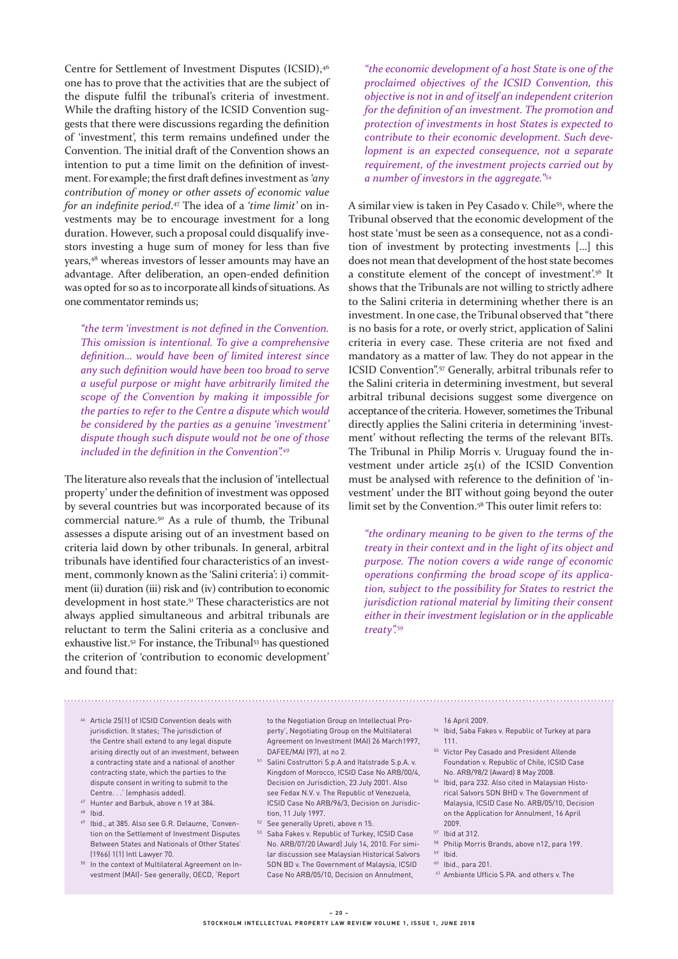Centre for Settlement of Investment Disputes (ICSID),<sup>46</sup> one has to prove that the activities that are the subject of the dispute fulfil the tribunal's criteria of investment. While the drafting history of the ICSID Convention suggests that there were discussions regarding the definition of 'investment', this term remains undefined under the Convention. The initial draft of the Convention shows an intention to put a time limit on the definition of investment. For example; the first draft defines investment as *'any contribution of money or other assets of economic value for an indefinite period*. 47 The idea of a *'time limit'* on investments may be to encourage investment for a long duration. However, such a proposal could disqualify investors investing a huge sum of money for less than five years,48 whereas investors of lesser amounts may have an advantage. After deliberation, an open-ended definition was opted for so as to incorporate all kinds of situations. As one commentator reminds us;

*"the term 'investment is not defined in the Convention. This omission is intentional. To give a comprehensive definition… would have been of limited interest since any such definition would have been too broad to serve a useful purpose or might have arbitrarily limited the scope of the Convention by making it impossible for the parties to refer to the Centre a dispute which would be considered by the parties as a genuine 'investment' dispute though such dispute would not be one of those included in the definition in the Convention".<sup>49</sup>*

The literature also reveals that the inclusion of 'intellectual property' under the definition of investment was opposed by several countries but was incorporated because of its commercial nature.50 As a rule of thumb, the Tribunal assesses a dispute arising out of an investment based on criteria laid down by other tribunals. In general, arbitral tribunals have identified four characteristics of an investment, commonly known as the 'Salini criteria': i) commitment (ii) duration (iii) risk and (iv) contribution to economic development in host state.<sup>51</sup> These characteristics are not always applied simultaneous and arbitral tribunals are reluctant to term the Salini criteria as a conclusive and exhaustive list.<sup>52</sup> For instance, the Tribunal<sup>53</sup> has questioned the criterion of 'contribution to economic development' and found that:

*"the economic development of a host State is one of the proclaimed objectives of the ICSID Convention, this objective is not in and of itself an independent criterion for the definition of an investment. The promotion and protection of investments in host States is expected to contribute to their economic development. Such development is an expected consequence, not a separate requirement, of the investment projects carried out by a number of investors in the aggregate."<sup>54</sup>*

A similar view is taken in Pey Casado v. Chile55, where the Tribunal observed that the economic development of the host state 'must be seen as a consequence, not as a condition of investment by protecting investments […] this does not mean that development of the host state becomes a constitute element of the concept of investment'.<sup>56</sup> It shows that the Tribunals are not willing to strictly adhere to the Salini criteria in determining whether there is an investment. In one case, the Tribunal observed that "there is no basis for a rote, or overly strict, application of Salini criteria in every case. These criteria are not fixed and mandatory as a matter of law. They do not appear in the ICSID Convention".<sup>57</sup> Generally, arbitral tribunals refer to the Salini criteria in determining investment, but several arbitral tribunal decisions suggest some divergence on acceptance of the criteria. However, sometimes the Tribunal directly applies the Salini criteria in determining 'investment' without reflecting the terms of the relevant BITs. The Tribunal in Philip Morris v. Uruguay found the investment under article  $25(1)$  of the ICSID Convention must be analysed with reference to the definition of 'investment' under the BIT without going beyond the outer limit set by the Convention.58 This outer limit refers to:

*"the ordinary meaning to be given to the terms of the treaty in their context and in the light of its object and purpose. The notion covers a wide range of economic operations confirming the broad scope of its application, subject to the possibility for States to restrict the jurisdiction rational material by limiting their consent either in their investment legislation or in the applicable treaty".<sup>59</sup>*

- <sup>46</sup> Article 25(1) of ICSID Convention deals with jurisdiction. It states; 'The jurisdiction of the Centre shall extend to any legal dispute arising directly out of an investment, between a contracting state and a national of another contracting state, which the parties to the dispute consent in writing to submit to the Centre. . .' (emphasis added).
- <sup>47</sup> Hunter and Barbuk, above n 19 at 384.
- <sup>48</sup> Ibid.
- <sup>49</sup> Ibid., at 385. Also see G.R. Delaume, 'Convention on the Settlement of Investment Disputes Between States and Nationals of Other States' (1966) 1(1) Intl Lawyer 70.
- <sup>50</sup> In the context of Multilateral Agreement on Investment (MAI)- See generally, OECD, 'Report

to the Negotiation Group on Intellectual Property', Negotiating Group on the Multilateral Agreement on Investment (MAI) 26 March1997, DAFEE/MAI (97), at no 2.

- 51 Salini Costruttori S.p.A and Italstrade S.p.A. v. Kingdom of Morocco, ICSID Case No ARB/00/4, Decision on Jurisdiction, 23 July 2001. Also see Fedax N.V. v. The Republic of Venezuela, ICSID Case No ARB/96/3, Decision on Jurisdiction, 11 July 1997.
- <sup>52</sup> See generally Upreti, above n 15.
- <sup>53</sup> Saba Fakes v. Republic of Turkey, ICSID Case No. ARB/07/20 (Award) July 14, 2010. For similar discussion see Malaysian Historical Salvors SDN BD v. The Government of Malaysia, ICSID Case No ARB/05/10, Decision on Annulment,
- 16 April 2009.
- <sup>54</sup> Ibid, Saba Fakes v. Republic of Turkey at para 111.
- <sup>55</sup> Victor Pey Casado and President Allende Foundation v. Republic of Chile, ICSID Case No. ARB/98/2 (Award) 8 May 2008.
- <sup>56</sup> Ibid, para 232. Also cited in Malaysian Historical Salvors SDN BHD v. The Government of Malaysia, ICSID Case No. ARB/05/10, Decision on the Application for Annulment, 16 April 2009.
- <sup>57</sup> Ibid at 312.
- <sup>58</sup> Philip Morris Brands, above n12, para 199.
- $59$  Ibid.
- <sup>60</sup> Ibid., para 201.

<sup>61</sup> Ambiente Ufficio S.PA. and others v. The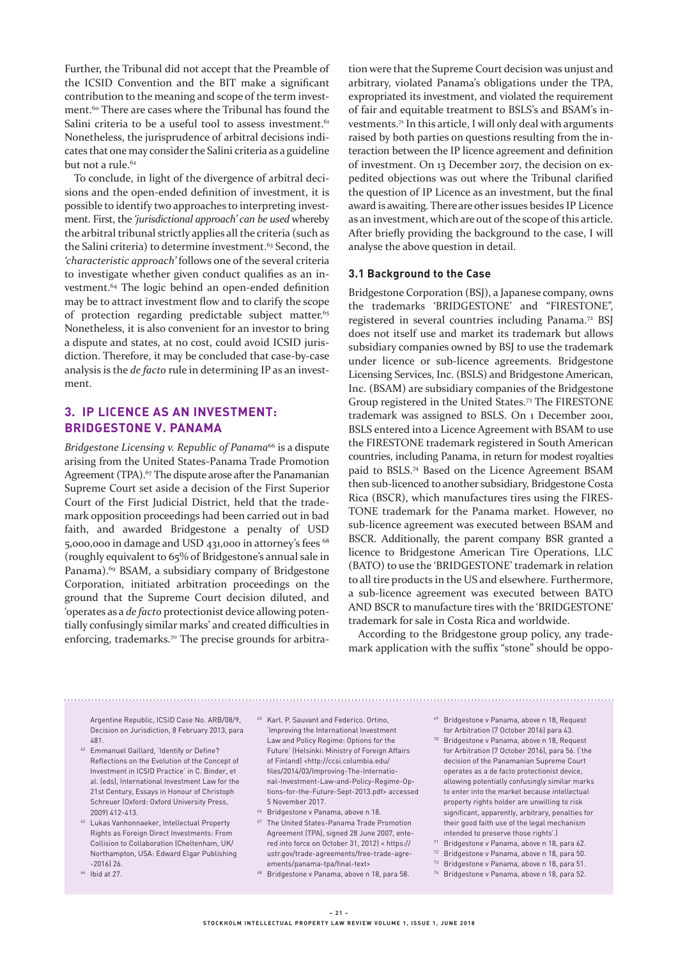Further, the Tribunal did not accept that the Preamble of the ICSID Convention and the BIT make a significant contribution to the meaning and scope of the term investment.<sup>60</sup> There are cases where the Tribunal has found the Salini criteria to be a useful tool to assess investment.<sup>61</sup> Nonetheless, the jurisprudence of arbitral decisions indicates that one may consider the Salini criteria as a guideline but not a rule.<sup>62</sup>

To conclude, in light of the divergence of arbitral decisions and the open-ended definition of investment, it is possible to identify two approaches to interpreting investment. First, the *'jurisdictional approach' can be used* whereby the arbitral tribunal strictly applies all the criteria (such as the Salini criteria) to determine investment.<sup>63</sup> Second, the *'characteristic approach'* follows one of the several criteria to investigate whether given conduct qualifies as an investment.64 The logic behind an open-ended definition may be to attract investment flow and to clarify the scope of protection regarding predictable subject matter.<sup>65</sup> Nonetheless, it is also convenient for an investor to bring a dispute and states, at no cost, could avoid ICSID jurisdiction. Therefore, it may be concluded that case-by-case analysis is the *de facto* rule in determining IP as an investment.

# **3. IP LICENCE AS AN INVESTMENT: BRIDGESTONE V. PANAMA**

*Bridgestone Licensing v. Republic of Panama*<sup>66</sup> is a dispute arising from the United States-Panama Trade Promotion Agreement (TPA).<sup>67</sup> The dispute arose after the Panamanian Supreme Court set aside a decision of the First Superior Court of the First Judicial District, held that the trademark opposition proceedings had been carried out in bad faith, and awarded Bridgestone a penalty of USD 5,000,000 in damage and USD 431,000 in attorney's fees 68 (roughly equivalent to 65% of Bridgestone's annual sale in Panama).<sup>69</sup> BSAM, a subsidiary company of Bridgestone Corporation, initiated arbitration proceedings on the ground that the Supreme Court decision diluted, and 'operates as a *de facto* protectionist device allowing potentially confusingly similar marks' and created difficulties in enforcing, trademarks.<sup>70</sup> The precise grounds for arbitration were that the Supreme Court decision was unjust and arbitrary, violated Panama's obligations under the TPA, expropriated its investment, and violated the requirement of fair and equitable treatment to BSLS's and BSAM's investments.<sup>71</sup> In this article, I will only deal with arguments raised by both parties on questions resulting from the interaction between the IP licence agreement and definition of investment. On 13 December 2017, the decision on expedited objections was out where the Tribunal clarified the question of IP Licence as an investment, but the final award is awaiting. There are other issues besides IP Licence as an investment, which are out of the scope of this article. After briefly providing the background to the case, I will analyse the above question in detail.

#### **3.1 Background to the Case**

Bridgestone Corporation (BSJ), a Japanese company, owns the trademarks 'BRIDGESTONE' and "FIRESTONE", registered in several countries including Panama.<sup>72</sup> BSJ does not itself use and market its trademark but allows subsidiary companies owned by BSJ to use the trademark under licence or sub-licence agreements. Bridgestone Licensing Services, Inc. (BSLS) and Bridgestone American, Inc. (BSAM) are subsidiary companies of the Bridgestone Group registered in the United States.73 The FIRESTONE trademark was assigned to BSLS. On 1 December 2001, BSLS entered into a Licence Agreement with BSAM to use the FIRESTONE trademark registered in South American countries, including Panama, in return for modest royalties paid to BSLS.74 Based on the Licence Agreement BSAM then sub-licenced to another subsidiary, Bridgestone Costa Rica (BSCR), which manufactures tires using the FIRES-TONE trademark for the Panama market. However, no sub-licence agreement was executed between BSAM and BSCR. Additionally, the parent company BSR granted a licence to Bridgestone American Tire Operations, LLC (BATO) to use the 'BRIDGESTONE' trademark in relation to all tire products in the US and elsewhere. Furthermore, a sub-licence agreement was executed between BATO AND BSCR to manufacture tires with the 'BRIDGESTONE' trademark for sale in Costa Rica and worldwide.

According to the Bridgestone group policy, any trademark application with the suffix "stone" should be oppo-

Argentine Republic, ICSID Case No. ARB/08/9, Decision on Jurisdiction, 8 February 2013, para 481.

- <sup>62</sup> Emmanuel Gaillard, 'Identify or Define? Reflections on the Evolution of the Concept of Investment in ICSID Practice' in C. Binder, et al. (eds), International Investment Law for the 21st Century, Essays in Honour of Christoph Schreuer (Oxford: Oxford University Press, 2009) 412-413.
- <sup>63</sup> Lukas Vanhonnaeker, Intellectual Property Rights as Foreign Direct Investments: From Collision to Collaboration (Cheltenham, UK/ Northampton, USA: Edward Elgar Publishing -2016) 26.
- <sup>64</sup> Ibid at 27.
- <sup>65</sup> Karl. P. Sauvant and Federico. Ortino, 'Improving the International Investment Law and Policy Regime: Options for the Future' (Helsinki: Ministry of Foreign Affairs of Finland) <http://ccsi.columbia.edu/ files/2014/03/Improving-The-International-Investment-Law-and-Policy-Regime-Options-for-the-Future-Sept-2013.pdf> accessed 5 November 2017.
- <sup>66</sup> Bridgestone v Panama, above n 18.
- <sup>67</sup> The United States-Panama Trade Promotion Agreement (TPA), signed 28 June 2007, entered into force on October 31, 2012) < https:// ustr.gov/trade-agreements/free-trade-agreements/panama-tpa/final-text>
- <sup>68</sup> Bridgestone v Panama, above n 18, para 58.
- <sup>69</sup> Bridgestone v Panama, above n 18, Request for Arbitration (7 October 2016) para 43.
- <sup>70</sup> Bridgestone v Panama, above n 18, Request for Arbitration (7 October 2016), para 56. ('the decision of the Panamanian Supreme Court operates as a de facto protectionist device, allowing potentially confusingly similar marks to enter into the market because intellectual property rights holder are unwilling to risk significant, apparently, arbitrary, penalties for their good faith use of the legal mechanism intended to preserve those rights'.)
- <sup>71</sup> Bridgestone v Panama, above n 18, para 62.
- <sup>72</sup> Bridgestone v Panama, above n 18, para 50.
- <sup>73</sup> Bridgestone v Panama, above n 18, para 51.
- <sup>74</sup> Bridgestone v Panama, above n 18, para 52.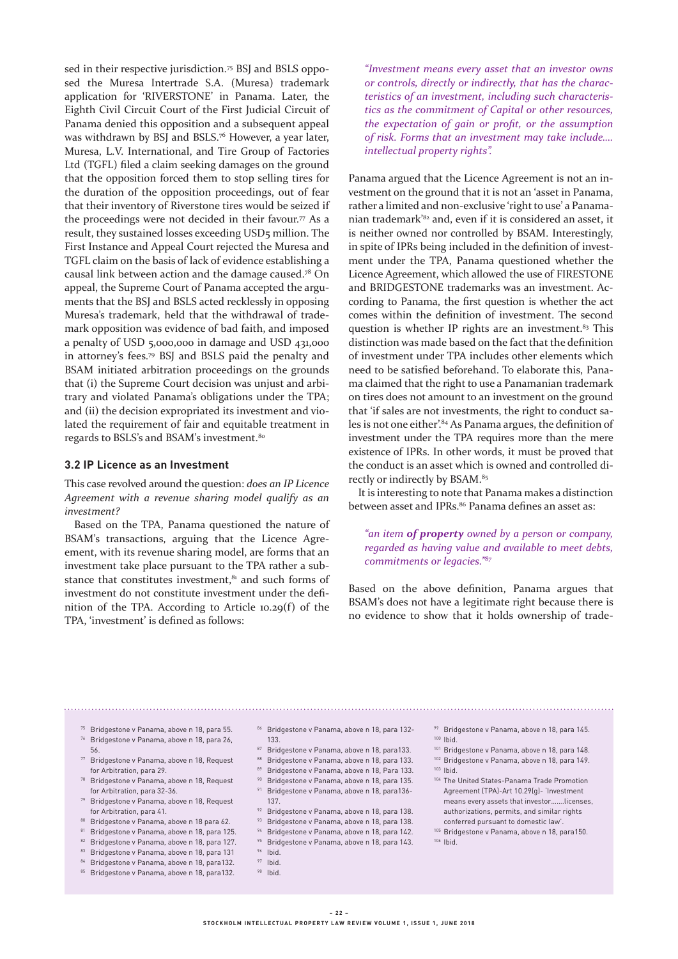sed in their respective jurisdiction.<sup>75</sup> BSJ and BSLS opposed the Muresa Intertrade S.A. (Muresa) trademark application for 'RIVERSTONE' in Panama. Later, the Eighth Civil Circuit Court of the First Judicial Circuit of Panama denied this opposition and a subsequent appeal was withdrawn by BSJ and BSLS.76 However, a year later, Muresa, L.V. International, and Tire Group of Factories Ltd (TGFL) filed a claim seeking damages on the ground that the opposition forced them to stop selling tires for the duration of the opposition proceedings, out of fear that their inventory of Riverstone tires would be seized if the proceedings were not decided in their favour.<sup> $77$ </sup> As a result, they sustained losses exceeding USD5 million. The First Instance and Appeal Court rejected the Muresa and TGFL claim on the basis of lack of evidence establishing a causal link between action and the damage caused.78 On appeal, the Supreme Court of Panama accepted the arguments that the BSJ and BSLS acted recklessly in opposing Muresa's trademark, held that the withdrawal of trademark opposition was evidence of bad faith, and imposed a penalty of USD 5,000,000 in damage and USD 431,000 in attorney's fees.79 BSJ and BSLS paid the penalty and BSAM initiated arbitration proceedings on the grounds that (i) the Supreme Court decision was unjust and arbitrary and violated Panama's obligations under the TPA; and (ii) the decision expropriated its investment and violated the requirement of fair and equitable treatment in regards to BSLS's and BSAM's investment.80

#### **3.2 IP Licence as an Investment**

This case revolved around the question: *does an IP Licence Agreement with a revenue sharing model qualify as an investment?*

Based on the TPA, Panama questioned the nature of BSAM's transactions, arguing that the Licence Agreement, with its revenue sharing model, are forms that an investment take place pursuant to the TPA rather a substance that constitutes investment, $81$  and such forms of investment do not constitute investment under the definition of the TPA. According to Article 10.29(f) of the TPA, 'investment' is defined as follows:

*"Investment means every asset that an investor owns or controls, directly or indirectly, that has the characteristics of an investment, including such characteristics as the commitment of Capital or other resources, the expectation of gain or profit, or the assumption of risk. Forms that an investment may take include…. intellectual property rights".*

Panama argued that the Licence Agreement is not an investment on the ground that it is not an 'asset in Panama, rather a limited and non-exclusive 'right to use' a Panamanian trademark'82 and, even if it is considered an asset, it is neither owned nor controlled by BSAM. Interestingly, in spite of IPRs being included in the definition of investment under the TPA, Panama questioned whether the Licence Agreement, which allowed the use of FIRESTONE and BRIDGESTONE trademarks was an investment. According to Panama, the first question is whether the act comes within the definition of investment. The second question is whether IP rights are an investment. $83$  This distinction was made based on the fact that the definition of investment under TPA includes other elements which need to be satisfied beforehand. To elaborate this, Panama claimed that the right to use a Panamanian trademark on tires does not amount to an investment on the ground that 'if sales are not investments, the right to conduct sales is not one either'.84 As Panama argues, the definition of investment under the TPA requires more than the mere existence of IPRs. In other words, it must be proved that the conduct is an asset which is owned and controlled directly or indirectly by BSAM.<sup>85</sup>

It is interesting to note that Panama makes a distinction between asset and IPRs.<sup>86</sup> Panama defines an asset as:

## *"an item of property owned by a person or company, regarded as having value and available to meet debts, commitments or legacies."<sup>87</sup>*

Based on the above definition, Panama argues that BSAM's does not have a legitimate right because there is no evidence to show that it holds ownership of trade-

- <sup>75</sup> Bridgestone v Panama, above n 18, para 55. <sup>76</sup> Bridgestone v Panama, above n 18, para 26,
- 56.
- <sup>77</sup> Bridgestone v Panama, above n 18, Request for Arbitration, para 29.
- <sup>78</sup> Bridgestone v Panama, above n 18, Request for Arbitration, para 32-36.
- <sup>79</sup> Bridgestone v Panama, above n 18, Request for Arbitration, para 41.
- 80 Bridgestone v Panama, above n 18 para 62.
- 81 Bridgestone v Panama, above n 18, para 125.
- 82 Bridgestone v Panama, above n 18, para 127.
- 83 Bridgestone v Panama, above n 18, para 131
- 84 Bridgestone v Panama, above n 18, para132.
- 85 Bridgestone v Panama, above n 18, para132.

86 Bridgestone v Panama, above n 18, para 132-133.

- 87 Bridgestone v Panama, above n 18, para133.
- 88 Bridgestone v Panama, above n 18, para 133.
- 89 Bridgestone v Panama, above n 18, Para 133.
- Bridgestone v Panama, above n 18, para 135.
- <sup>91</sup> Bridgestone v Panama, above n 18, para136- 137.
- <sup>92</sup> Bridgestone v Panama, above n 18, para 138.
- 
- <sup>93</sup> Bridgestone v Panama, above n 18, para 138.<br><sup>94</sup> Bridgestone v Panama, above n 18, para 142. Bridgestone v Panama, above n 18, para 142.
- <sup>95</sup> Bridgestone v Panama, above n 18, para 143.
- <sup>96</sup> Ibid.
	- $97$  Ibid.
		- <sup>98</sup> Ibid.
- 99 Bridgestone v Panama, above n 18, para 145. <sup>100</sup> Ibid.
- 
- <sup>101</sup> Bridgestone v Panama, above n 18, para 148. <sup>102</sup> Bridgestone v Panama, above n 18, para 149.
- $103$  Ibid.
- <sup>104</sup> The United States-Panama Trade Promotion Agreement (TPA)-Art 10.29(g)- 'Investment means every assets that investor…….licenses, authorizations, permits, and similar rights conferred pursuant to domestic law'.
- <sup>105</sup> Bridgestone v Panama, above n 18, para150. <sup>106</sup> Ibid.
- **22 –** STOCKHOLM INTELLECTUAL PROPERTY LAW REVIEW VOLUME 1, ISSUE 1, JUNE 2018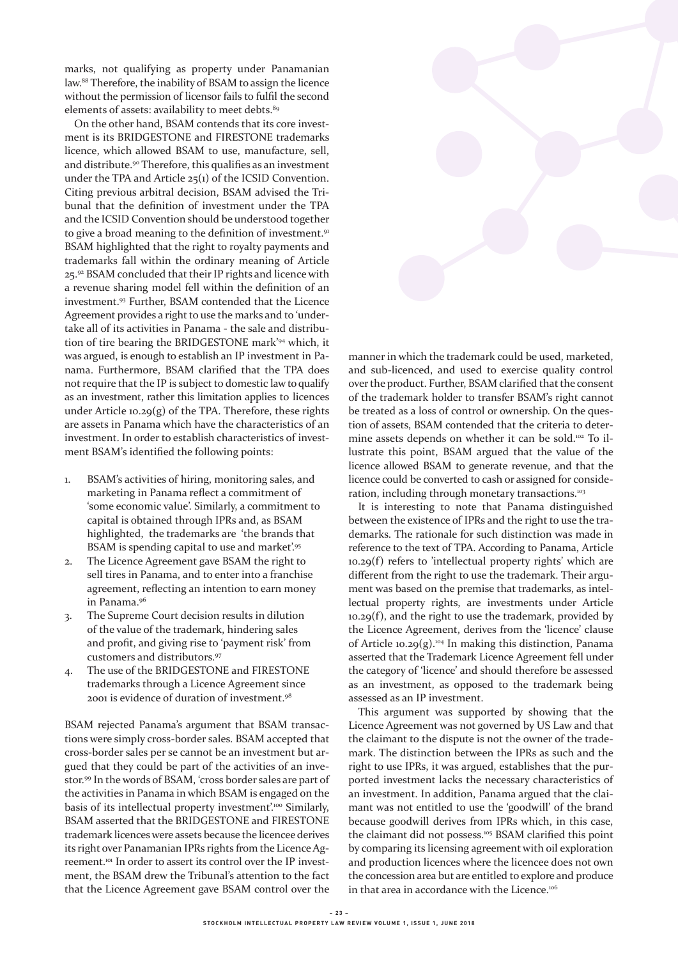marks, not qualifying as property under Panamanian law.88 Therefore, the inability of BSAM to assign the licence without the permission of licensor fails to fulfil the second elements of assets: availability to meet debts.<sup>89</sup>

On the other hand, BSAM contends that its core investment is its BRIDGESTONE and FIRESTONE trademarks licence, which allowed BSAM to use, manufacture, sell, and distribute.<sup>90</sup> Therefore, this qualifies as an investment under the TPA and Article 25(1) of the ICSID Convention. Citing previous arbitral decision, BSAM advised the Tribunal that the definition of investment under the TPA and the ICSID Convention should be understood together to give a broad meaning to the definition of investment.<sup>91</sup> BSAM highlighted that the right to royalty payments and trademarks fall within the ordinary meaning of Article 25.92 BSAM concluded that their IP rights and licence with a revenue sharing model fell within the definition of an investment.93 Further, BSAM contended that the Licence Agreement provides a right to use the marks and to 'undertake all of its activities in Panama - the sale and distribution of tire bearing the BRIDGESTONE mark'94 which, it was argued, is enough to establish an IP investment in Panama. Furthermore, BSAM clarified that the TPA does not require that the IP is subject to domestic law to qualify as an investment, rather this limitation applies to licences under Article 10.29 $(g)$  of the TPA. Therefore, these rights are assets in Panama which have the characteristics of an investment. In order to establish characteristics of investment BSAM's identified the following points:

- 1. BSAM's activities of hiring, monitoring sales, and marketing in Panama reflect a commitment of 'some economic value'. Similarly, a commitment to capital is obtained through IPRs and, as BSAM highlighted, the trademarks are 'the brands that BSAM is spending capital to use and market'.95
- 2. The Licence Agreement gave BSAM the right to sell tires in Panama, and to enter into a franchise agreement, reflecting an intention to earn money in Panama.96
- 3. The Supreme Court decision results in dilution of the value of the trademark, hindering sales and profit, and giving rise to 'payment risk' from customers and distributors.97
- 4. The use of the BRIDGESTONE and FIRESTONE trademarks through a Licence Agreement since 2001 is evidence of duration of investment.98

BSAM rejected Panama's argument that BSAM transactions were simply cross-border sales. BSAM accepted that cross-border sales per se cannot be an investment but argued that they could be part of the activities of an investor.99 In the words of BSAM, 'cross border sales are part of the activities in Panama in which BSAM is engaged on the basis of its intellectual property investment'.<sup>100</sup> Similarly, BSAM asserted that the BRIDGESTONE and FIRESTONE trademark licences were assets because the licencee derives its right over Panamanian IPRs rights from the Licence Agreement.101 In order to assert its control over the IP investment, the BSAM drew the Tribunal's attention to the fact that the Licence Agreement gave BSAM control over the



manner in which the trademark could be used, marketed, and sub-licenced, and used to exercise quality control over the product. Further, BSAM clarified that the consent of the trademark holder to transfer BSAM's right cannot be treated as a loss of control or ownership. On the question of assets, BSAM contended that the criteria to determine assets depends on whether it can be sold.102 To illustrate this point, BSAM argued that the value of the licence allowed BSAM to generate revenue, and that the licence could be converted to cash or assigned for consideration, including through monetary transactions.<sup>103</sup>

It is interesting to note that Panama distinguished between the existence of IPRs and the right to use the trademarks. The rationale for such distinction was made in reference to the text of TPA. According to Panama, Article 10.29(f) refers to 'intellectual property rights' which are different from the right to use the trademark. Their argument was based on the premise that trademarks, as intellectual property rights, are investments under Article  $10.29(f)$ , and the right to use the trademark, provided by the Licence Agreement, derives from the 'licence' clause of Article 10.29(g).<sup>104</sup> In making this distinction, Panama asserted that the Trademark Licence Agreement fell under the category of 'licence' and should therefore be assessed as an investment, as opposed to the trademark being assessed as an IP investment.

This argument was supported by showing that the Licence Agreement was not governed by US Law and that the claimant to the dispute is not the owner of the trademark. The distinction between the IPRs as such and the right to use IPRs, it was argued, establishes that the purported investment lacks the necessary characteristics of an investment. In addition, Panama argued that the claimant was not entitled to use the 'goodwill' of the brand because goodwill derives from IPRs which, in this case, the claimant did not possess.<sup>105</sup> BSAM clarified this point by comparing its licensing agreement with oil exploration and production licences where the licencee does not own the concession area but are entitled to explore and produce in that area in accordance with the Licence.<sup>106</sup>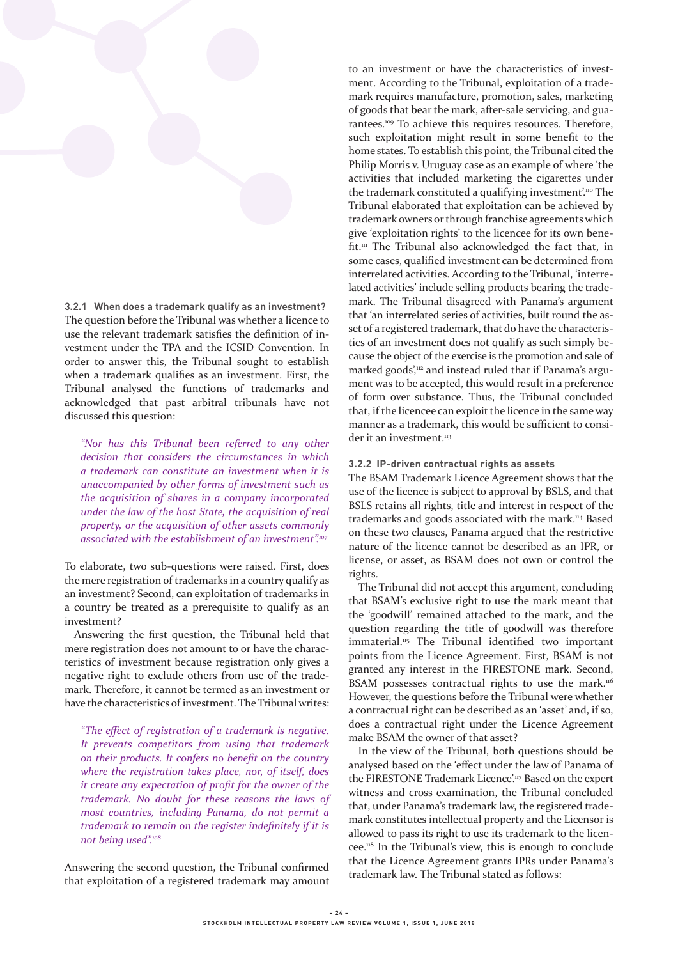

**3.2.1 When does a trademark qualify as an investment?** The question before the Tribunal was whether a licence to use the relevant trademark satisfies the definition of investment under the TPA and the ICSID Convention. In order to answer this, the Tribunal sought to establish when a trademark qualifies as an investment. First, the Tribunal analysed the functions of trademarks and acknowledged that past arbitral tribunals have not discussed this question:

*"Nor has this Tribunal been referred to any other decision that considers the circumstances in which a trademark can constitute an investment when it is unaccompanied by other forms of investment such as the acquisition of shares in a company incorporated under the law of the host State, the acquisition of real property, or the acquisition of other assets commonly associated with the establishment of an investment".<sup>107</sup>*

To elaborate, two sub-questions were raised. First, does the mere registration of trademarks in a country qualify as an investment? Second, can exploitation of trademarks in a country be treated as a prerequisite to qualify as an investment?

Answering the first question, the Tribunal held that mere registration does not amount to or have the characteristics of investment because registration only gives a negative right to exclude others from use of the trademark. Therefore, it cannot be termed as an investment or have the characteristics of investment. The Tribunal writes:

*"The effect of registration of a trademark is negative. It prevents competitors from using that trademark on their products. It confers no benefit on the country where the registration takes place, nor, of itself, does it create any expectation of profit for the owner of the trademark. No doubt for these reasons the laws of most countries, including Panama, do not permit a trademark to remain on the register indefinitely if it is not being used".<sup>108</sup>*

Answering the second question, the Tribunal confirmed that exploitation of a registered trademark may amount

to an investment or have the characteristics of investment. According to the Tribunal, exploitation of a trademark requires manufacture, promotion, sales, marketing of goods that bear the mark, after-sale servicing, and guarantees.109 To achieve this requires resources. Therefore, such exploitation might result in some benefit to the home states. To establish this point, the Tribunal cited the Philip Morris v. Uruguay case as an example of where 'the activities that included marketing the cigarettes under the trademark constituted a qualifying investment'.<sup>110</sup> The Tribunal elaborated that exploitation can be achieved by trademark owners or through franchise agreements which give 'exploitation rights' to the licencee for its own benefit.<sup>111</sup> The Tribunal also acknowledged the fact that, in some cases, qualified investment can be determined from interrelated activities. According to the Tribunal, 'interrelated activities' include selling products bearing the trademark. The Tribunal disagreed with Panama's argument that 'an interrelated series of activities, built round the asset of a registered trademark, that do have the characteristics of an investment does not qualify as such simply because the object of the exercise is the promotion and sale of marked goods',<sup>112</sup> and instead ruled that if Panama's argument was to be accepted, this would result in a preference of form over substance. Thus, the Tribunal concluded that, if the licencee can exploit the licence in the same way manner as a trademark, this would be sufficient to consider it an investment.<sup>113</sup>

#### **3.2.2 IP-driven contractual rights as assets**

The BSAM Trademark Licence Agreement shows that the use of the licence is subject to approval by BSLS, and that BSLS retains all rights, title and interest in respect of the trademarks and goods associated with the mark.114 Based on these two clauses, Panama argued that the restrictive nature of the licence cannot be described as an IPR, or license, or asset, as BSAM does not own or control the rights.

The Tribunal did not accept this argument, concluding that BSAM's exclusive right to use the mark meant that the 'goodwill' remained attached to the mark, and the question regarding the title of goodwill was therefore immaterial.<sup>115</sup> The Tribunal identified two important points from the Licence Agreement. First, BSAM is not granted any interest in the FIRESTONE mark. Second, BSAM possesses contractual rights to use the mark.<sup>116</sup> However, the questions before the Tribunal were whether a contractual right can be described as an 'asset' and, if so, does a contractual right under the Licence Agreement make BSAM the owner of that asset?

In the view of the Tribunal, both questions should be analysed based on the 'effect under the law of Panama of the FIRESTONE Trademark Licence'.<sup>117</sup> Based on the expert witness and cross examination, the Tribunal concluded that, under Panama's trademark law, the registered trademark constitutes intellectual property and the Licensor is allowed to pass its right to use its trademark to the licencee.118 In the Tribunal's view, this is enough to conclude that the Licence Agreement grants IPRs under Panama's trademark law. The Tribunal stated as follows: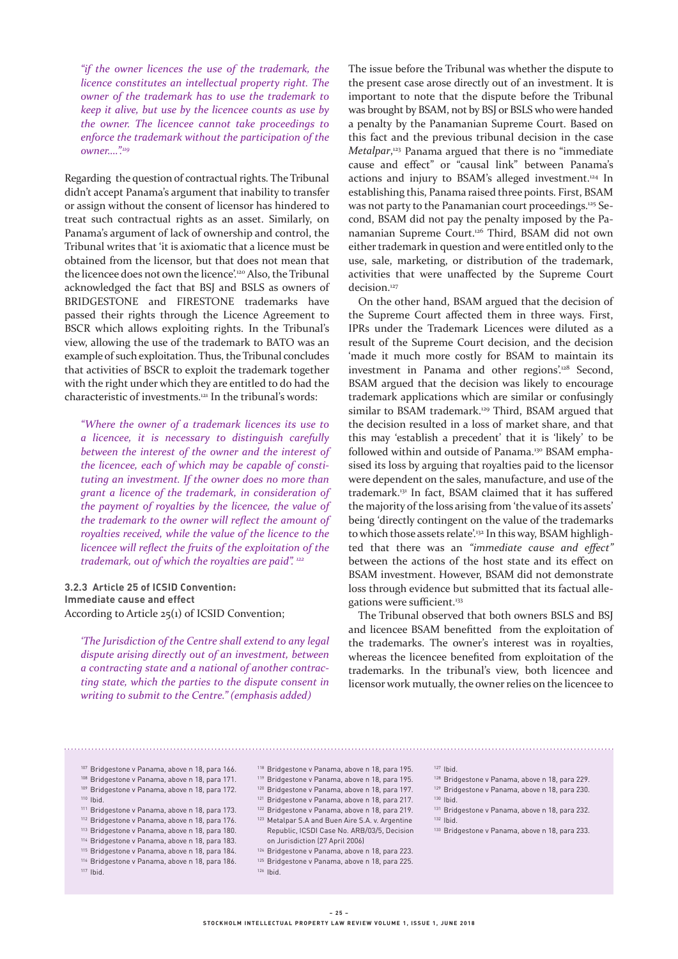*"if the owner licences the use of the trademark, the licence constitutes an intellectual property right. The owner of the trademark has to use the trademark to keep it alive, but use by the licencee counts as use by the owner. The licencee cannot take proceedings to enforce the trademark without the participation of the owner….".<sup>119</sup>*

Regarding the question of contractual rights. The Tribunal didn't accept Panama's argument that inability to transfer or assign without the consent of licensor has hindered to treat such contractual rights as an asset. Similarly, on Panama's argument of lack of ownership and control, the Tribunal writes that 'it is axiomatic that a licence must be obtained from the licensor, but that does not mean that the licencee does not own the licence'.120 Also, the Tribunal acknowledged the fact that BSJ and BSLS as owners of BRIDGESTONE and FIRESTONE trademarks have passed their rights through the Licence Agreement to BSCR which allows exploiting rights. In the Tribunal's view, allowing the use of the trademark to BATO was an example of such exploitation. Thus, the Tribunal concludes that activities of BSCR to exploit the trademark together with the right under which they are entitled to do had the characteristic of investments.<sup>121</sup> In the tribunal's words:

*"Where the owner of a trademark licences its use to a licencee, it is necessary to distinguish carefully between the interest of the owner and the interest of the licencee, each of which may be capable of constituting an investment. If the owner does no more than grant a licence of the trademark, in consideration of the payment of royalties by the licencee, the value of the trademark to the owner will reflect the amount of royalties received, while the value of the licence to the licencee will reflect the fruits of the exploitation of the trademark, out of which the royalties are paid". <sup>122</sup>*

**3.2.3 Article 25 of ICSID Convention: Immediate cause and effect** According to Article 25(1) of ICSID Convention;

*'The Jurisdiction of the Centre shall extend to any legal dispute arising directly out of an investment, between a contracting state and a national of another contracting state, which the parties to the dispute consent in writing to submit to the Centre." (emphasis added)*

The issue before the Tribunal was whether the dispute to the present case arose directly out of an investment. It is important to note that the dispute before the Tribunal was brought by BSAM, not by BSJ or BSLS who were handed a penalty by the Panamanian Supreme Court. Based on this fact and the previous tribunal decision in the case *Metalpar*, 123 Panama argued that there is no "immediate cause and effect" or "causal link" between Panama's actions and injury to BSAM's alleged investment.124 In establishing this, Panama raised three points. First, BSAM was not party to the Panamanian court proceedings.<sup>125</sup> Second, BSAM did not pay the penalty imposed by the Panamanian Supreme Court.126 Third, BSAM did not own either trademark in question and were entitled only to the use, sale, marketing, or distribution of the trademark, activities that were unaffected by the Supreme Court decision.<sup>127</sup>

On the other hand, BSAM argued that the decision of the Supreme Court affected them in three ways. First, IPRs under the Trademark Licences were diluted as a result of the Supreme Court decision, and the decision 'made it much more costly for BSAM to maintain its investment in Panama and other regions'.<sup>128</sup> Second, BSAM argued that the decision was likely to encourage trademark applications which are similar or confusingly similar to BSAM trademark.<sup>129</sup> Third, BSAM argued that the decision resulted in a loss of market share, and that this may 'establish a precedent' that it is 'likely' to be followed within and outside of Panama.<sup>130</sup> BSAM emphasised its loss by arguing that royalties paid to the licensor were dependent on the sales, manufacture, and use of the trademark.131 In fact, BSAM claimed that it has suffered the majority of the loss arising from 'the value of its assets' being 'directly contingent on the value of the trademarks to which those assets relate'.<sup>132</sup> In this way, BSAM highlighted that there was an *"immediate cause and effect"* between the actions of the host state and its effect on BSAM investment. However, BSAM did not demonstrate loss through evidence but submitted that its factual allegations were sufficient.<sup>133</sup>

The Tribunal observed that both owners BSLS and BSJ and licencee BSAM benefitted from the exploitation of the trademarks. The owner's interest was in royalties, whereas the licencee benefited from exploitation of the trademarks. In the tribunal's view, both licencee and licensor work mutually, the owner relies on the licencee to

- 
- <sup>107</sup> Bridgestone v Panama, above n 18, para 166.
- <sup>108</sup> Bridgestone v Panama, above n 18, para 171.
- <sup>109</sup> Bridgestone v Panama, above n 18, para 172.
- <sup>110</sup> Ibid.
- <sup>111</sup> Bridgestone v Panama, above n 18, para 173.
- <sup>112</sup> Bridgestone v Panama, above n 18, para 176.
- <sup>113</sup> Bridgestone v Panama, above n 18, para 180.
- <sup>114</sup> Bridgestone v Panama, above n 18, para 183.
- <sup>115</sup> Bridgestone v Panama, above n 18, para 184.
- <sup>116</sup> Bridgestone v Panama, above n 18, para 186.
- <sup>117</sup> Ibid.
- <sup>118</sup> Bridgestone v Panama, above n 18, para 195. <sup>119</sup> Bridgestone v Panama, above n 18, para 195.
- <sup>120</sup> Bridgestone v Panama, above n 18, para 197.
- <sup>121</sup> Bridgestone v Panama, above n 18, para 217.
- 
- <sup>122</sup> Bridgestone v Panama, above n 18, para 219.
- <sup>123</sup> Metalpar S.A and Buen Aire S.A. v. Argentine Republic, ICSDI Case No. ARB/03/5, Decision on Jurisdiction (27 April 2006)
- <sup>124</sup> Bridgestone v Panama, above n 18, para 223.
- <sup>125</sup> Bridgestone v Panama, above n 18, para 225.
- <sup>126</sup> Ibid.
- <sup>128</sup> Bridgestone v Panama, above n 18, para 229.
- <sup>129</sup> Bridgestone v Panama, above n 18, para 230.
- <sup>130</sup> Ibid. <sup>131</sup> Bridgestone v Panama, above n 18, para 232.
	- - <sup>132</sup> Ibid. <sup>133</sup> Bridgestone v Panama, above n 18, para 233.
- **25 –** STOCKHOLM INTELLECTUAL PROPERTY LAW REVIEW VOLUME 1, ISSUE 1, JUNE 2018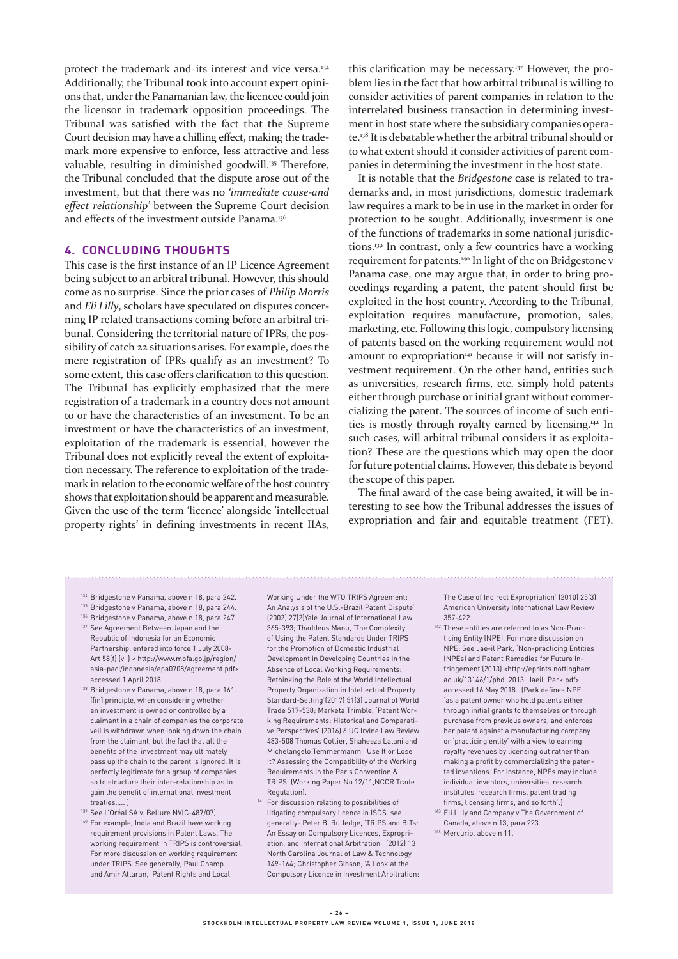protect the trademark and its interest and vice versa.134 Additionally, the Tribunal took into account expert opinions that, under the Panamanian law, the licencee could join the licensor in trademark opposition proceedings. The Tribunal was satisfied with the fact that the Supreme Court decision may have a chilling effect, making the trademark more expensive to enforce, less attractive and less valuable, resulting in diminished goodwill.<sup>135</sup> Therefore, the Tribunal concluded that the dispute arose out of the investment, but that there was no *'immediate cause-and effect relationship'* between the Supreme Court decision and effects of the investment outside Panama.<sup>136</sup>

#### **4. CONCLUDING THOUGHTS**

This case is the first instance of an IP Licence Agreement being subject to an arbitral tribunal. However, this should come as no surprise. Since the prior cases of *Philip Morris*  and *Eli Lilly*, scholars have speculated on disputes concerning IP related transactions coming before an arbitral tribunal. Considering the territorial nature of IPRs, the possibility of catch 22 situations arises. For example, does the mere registration of IPRs qualify as an investment? To some extent, this case offers clarification to this question. The Tribunal has explicitly emphasized that the mere registration of a trademark in a country does not amount to or have the characteristics of an investment. To be an investment or have the characteristics of an investment, exploitation of the trademark is essential, however the Tribunal does not explicitly reveal the extent of exploitation necessary. The reference to exploitation of the trademark in relation to the economic welfare of the host country shows that exploitation should be apparent and measurable. Given the use of the term 'licence' alongside 'intellectual property rights' in defining investments in recent IIAs,

this clarification may be necessary.137 However, the problem lies in the fact that how arbitral tribunal is willing to consider activities of parent companies in relation to the interrelated business transaction in determining investment in host state where the subsidiary companies operate.138 It is debatable whether the arbitral tribunal should or to what extent should it consider activities of parent companies in determining the investment in the host state.

It is notable that the *Bridgestone* case is related to trademarks and, in most jurisdictions, domestic trademark law requires a mark to be in use in the market in order for protection to be sought. Additionally, investment is one of the functions of trademarks in some national jurisdictions.139 In contrast, only a few countries have a working requirement for patents.<sup>140</sup> In light of the on Bridgestone v Panama case, one may argue that, in order to bring proceedings regarding a patent, the patent should first be exploited in the host country. According to the Tribunal, exploitation requires manufacture, promotion, sales, marketing, etc. Following this logic, compulsory licensing of patents based on the working requirement would not amount to expropriation<sup>141</sup> because it will not satisfy investment requirement. On the other hand, entities such as universities, research firms, etc. simply hold patents either through purchase or initial grant without commercializing the patent. The sources of income of such entities is mostly through royalty earned by licensing.142 In such cases, will arbitral tribunal considers it as exploitation? These are the questions which may open the door for future potential claims. However, this debate is beyond the scope of this paper.

The final award of the case being awaited, it will be interesting to see how the Tribunal addresses the issues of expropriation and fair and equitable treatment (FET).

- <sup>134</sup> Bridgestone v Panama, above n 18, para 242.
- 135 Bridgestone v Panama, above n 18, para 244.
- <sup>136</sup> Bridgestone v Panama, above n 18, para 247.
- 137 See Agreement Between Japan and the Republic of Indonesia for an Economic Partnership, entered into force 1 July 2008- Art 58(f) (vii) < http://www.mofa.go.jp/region/ asia-paci/indonesia/epa0708/agreement.pdf> accessed 1 April 2018.
- <sup>138</sup> Bridgestone v Panama, above n 18, para 161. ([in] principle, when considering whether an investment is owned or controlled by a claimant in a chain of companies the corporate veil is withdrawn when looking down the chain from the claimant, but the fact that all the benefits of the investment may ultimately pass up the chain to the parent is ignored. It is perfectly legitimate for a group of companies so to structure their inter-relationship as to gain the benefit of international investment treaties….. )
- 139 See L'Oréal SA v. Bellure NV(C-487/07).
- <sup>140</sup> For example, India and Brazil have working requirement provisions in Patent Laws. The working requirement in TRIPS is controversial. For more discussion on working requirement under TRIPS. See generally, Paul Champ and Amir Attaran, 'Patent Rights and Local

Working Under the WTO TRIPS Agreement: An Analysis of the U.S.-Brazil Patent Dispute' (2002) 27(2)Yale Journal of International Law 365-393; Thaddeus Manu, 'The Complexity of Using the Patent Standards Under TRIPS for the Promotion of Domestic Industrial Development in Developing Countries in the Absence of Local Working Requirements: Rethinking the Role of the World Intellectual Property Organization in Intellectual Property Standard-Setting'(2017) 51(3) Journal of World Trade 517-538; Marketa Trimble, 'Patent Working Requirements: Historical and Comparative Perspectives' (2016) 6 UC Irvine Law Review 483-508 Thomas Cottier, Shaheeza Lalani and Michelangelo Temmermanm, 'Use It or Lose It? Assessing the Compatibility of the Working Requirements in the Paris Convention & TRIPS' (Working Paper No 12/11,NCCR Trade Regulation).

<sup>141</sup> For discussion relating to possibilities of litigating compulsory licence in ISDS. see generally- Peter B. Rutledge, 'TRIPS and BITs: An Essay on Compulsory Licences, Expropriation, and International Arbitration' (2012) 13 North Carolina Journal of Law & Technology 149-164; Christopher Gibson, 'A Look at the Compulsory Licence in Investment Arbitration: The Case of Indirect Expropriation' (2010) 25(3) American University International Law Review 357-422.

- <sup>142</sup> These entities are referred to as Non-Practicing Entity (NPE). For more discussion on NPE; See Jae-il Park, 'Non-practicing Entities (NPEs) and Patent Remedies for Future Infringement'(2013) <http://eprints.nottingham. ac.uk/13146/1/phd\_2013\_Jaeil\_Park.pdf> accessed 16 May 2018. (Park defines NPE 'as a patent owner who hold patents either through initial grants to themselves or through purchase from previous owners, and enforces her patent against a manufacturing company or 'practicing entity' with a view to earning royalty revenues by licensing out rather than making a profit by commercializing the patented inventions. For instance, NPEs may include individual inventors, universities, research institutes, research firms, patent trading firms, licensing firms, and so forth'.)
- <sup>143</sup> Eli Lilly and Company v The Government of Canada, above n 13, para 223.
- 144 Mercurio, above n 11.